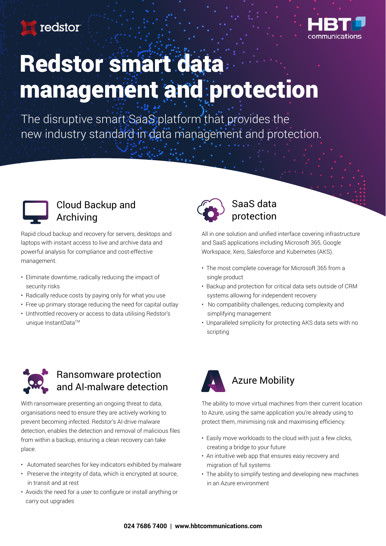redstor



# Redstor smart data management and protection

The disruptive smart SaaS platform that provides the new industry standard in data management and protection.



### Cloud Backup and Archiving

Rapid cloud backup and recovery for servers, desktops and laptops with instant access to live and archive data and powerful analysis for compliance and cost-effective management.

- Eliminate downtime, radically reducing the impact of security risks
- Radically reduce costs by paying only for what you use
- Free up primary storage reducing the need for capital outlay • Unthrottled recovery or access to data utilising Redstor's
- unique InstantData™



#### SaaS data protection

All in one solution and unified interface covering infrastructure and SaaS applications including Microsoft 365, Google Workspace, Xero, Salesforce and Kubernetes (AKS).

- The most complete coverage for Microsoft 365 from a single product
- Backup and protection for critical data sets outside of CRM systems allowing for independent recovery
- No compatibility challenges, reducing complexity and simplifying management
- Unparalleled simplicity for protecting AKS data sets with no scripting



#### Ransomware protection and AI-malware detection

With ransomware presenting an ongoing threat to data, organisations need to ensure they are actively working to prevent becoming infected. Redstor's AI-drive malware detection, enables the detection and removal of malicious files from within a backup, ensuring a clean recovery can take place.

- Automated searches for key indicators exhibited by malware
- Preserve the integrity of data, which is encrypted at source, in transit and at rest
- Avoids the need for a user to configure or install anything or carry out upgrades



The ability to move virtual machines from their current location to Azure, using the same application you're already using to protect them, minimising risk and maximising efficiency.

- Easily move workloads to the cloud with just a few clicks, creating a bridge to your future
- An intuitive web app that ensures easy recovery and migration of full systems
- The ability to simplify testing and developing new machines in an Azure environment